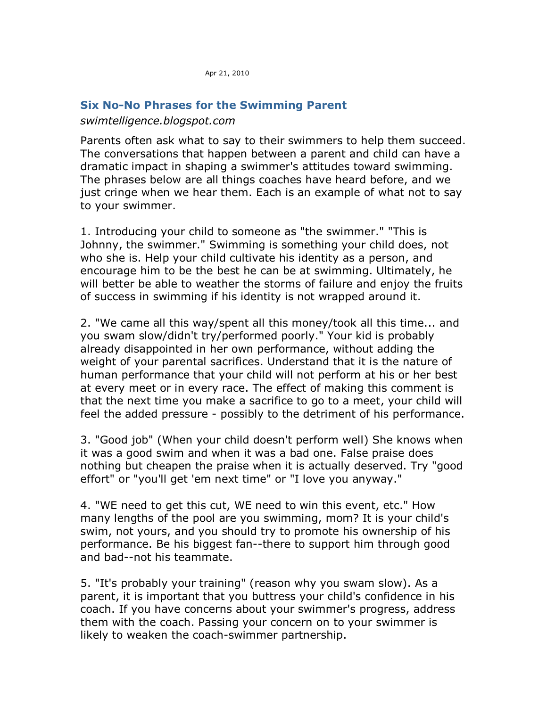## **[Six No-No Phrases for the Swimming Parent](http://swimtelligence.blogspot.com/2009/07/six-no-no-phrases-for-swimming-parent.html)**

## *swimtelligence.blogspot.com*

Parents often ask what to say to their swimmers to help them succeed. The conversations that happen between a parent and child can have a dramatic impact in shaping a swimmer's attitudes toward swimming. The phrases below are all things coaches have heard before, and we just cringe when we hear them. Each is an example of what not to say to your swimmer.

1. Introducing your child to someone as "the swimmer." "This is Johnny, the swimmer." Swimming is something your child does, not who she is. Help your child cultivate his identity as a person, and encourage him to be the best he can be at swimming. Ultimately, he will better be able to weather the storms of failure and enjoy the fruits of success in swimming if his identity is not wrapped around it.

2. "We came all this way/spent all this money/took all this time... and you swam slow/didn't try/performed poorly." Your kid is probably already disappointed in her own performance, without adding the weight of your parental sacrifices. Understand that it is the nature of human performance that your child will not perform at his or her best at every meet or in every race. The effect of making this comment is that the next time you make a sacrifice to go to a meet, your child will feel the added pressure - possibly to the detriment of his performance.

3. "Good job" (When your child doesn't perform well) She knows when it was a good swim and when it was a bad one. False praise does nothing but cheapen the praise when it is actually deserved. Try "good effort" or "you'll get 'em next time" or "I love you anyway."

4. "WE need to get this cut, WE need to win this event, etc." How many lengths of the pool are you swimming, mom? It is your child's swim, not yours, and you should try to promote his ownership of his performance. Be his biggest fan--there to support him through good and bad--not his teammate.

5. "It's probably your training" (reason why you swam slow). As a parent, it is important that you buttress your child's confidence in his coach. If you have concerns about your swimmer's progress, address them with the coach. Passing your concern on to your swimmer is likely to weaken the coach-swimmer partnership.